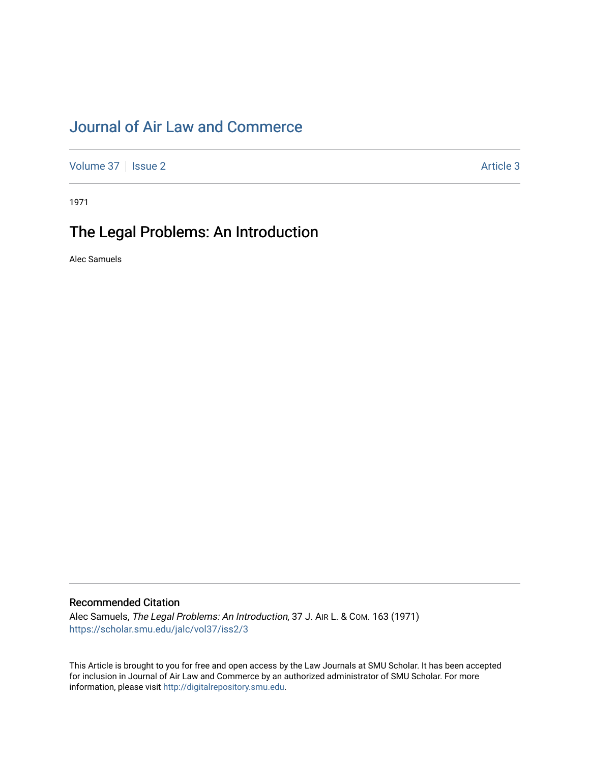# [Journal of Air Law and Commerce](https://scholar.smu.edu/jalc)

[Volume 37](https://scholar.smu.edu/jalc/vol37) | [Issue 2](https://scholar.smu.edu/jalc/vol37/iss2) Article 3

1971

## The Legal Problems: An Introduction

Alec Samuels

### Recommended Citation

Alec Samuels, The Legal Problems: An Introduction, 37 J. AIR L. & COM. 163 (1971) [https://scholar.smu.edu/jalc/vol37/iss2/3](https://scholar.smu.edu/jalc/vol37/iss2/3?utm_source=scholar.smu.edu%2Fjalc%2Fvol37%2Fiss2%2F3&utm_medium=PDF&utm_campaign=PDFCoverPages) 

This Article is brought to you for free and open access by the Law Journals at SMU Scholar. It has been accepted for inclusion in Journal of Air Law and Commerce by an authorized administrator of SMU Scholar. For more information, please visit [http://digitalrepository.smu.edu](http://digitalrepository.smu.edu/).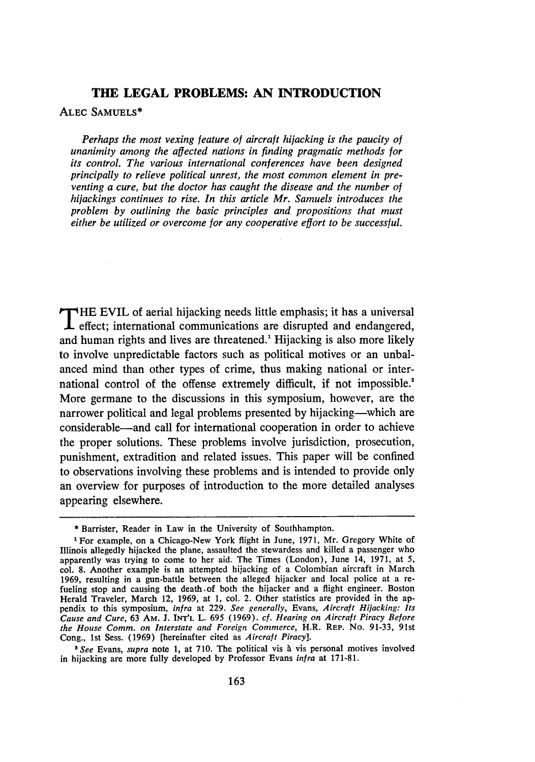### **THE LEGAL PROBLEMS: AN INTRODUCTION**

#### **ALEC SAMUELS\***

*Perhaps the most vexing feature of aircraft hijacking is the paucity of unanimity among the affected nations in finding pragmatic methods for its control. The various international conferences have been designed principally to relieve political unrest, the most common element in preventing a cure, but the doctor has caught the disease and the number of hijackings continues to rise. In this article Mr. Samuels introduces the problem by outlining the basic principles and propositions that must either be utilized or overcome for any cooperative effort to be successful.*

**T** HE EVIL of aerial hijacking needs little emphasis; it has a universal **L** effect; international communications are disrupted and endangered, and human rights and lives are threatened.<sup>1</sup> Hijacking is also more likely to involve unpredictable factors such as political motives or an unbalanced mind than other types of crime, thus making national or international control of the offense extremely difficult, if not impossible.<sup>2</sup> More germane to the discussions in this symposium, however, are the narrower political and legal problems presented **by** hijacking-which are considerable-and call for international cooperation in order to achieve the proper solutions. These problems involve jurisdiction, prosecution, punishment, extradition and related issues. This paper will be confined to observations involving these problems and is intended to provide only an overview for purposes of introduction to the more detailed analyses appearing elsewhere.

<sup>2</sup> See Evans, *supra* note 1, at 710. The political vis à vis personal motives involved in hijacking are more fully developed **by** Professor Evans *infra* at **171-81..**

<sup>\*</sup>Barrister, Reader in Law in the University of Southhampton.

<sup>&#</sup>x27;For example, on a Chicago-New York flight in June, **1971,** Mr. Gregory White of Illinois allegedly hijacked the plane, assaulted the stewardess and killed a passenger who apparently was trying to come to her aid. The Times (London), June 14, **1971,** at **5,** col. **8.** Another example is an attempted hijacking of a Colombian aircraft in March **1969,** resulting in a gun-battle between the alleged hijacker and local police at a refueling stop and causing the death of both the hijacker and a flight engineer. Boston Herald Traveler, March 12, **1969,** at **1,** col. 2. Other statistics are provided in the appendix to this symposium, *infra* at **229.** *See generally,* Evans, *Aircraft Hijacking: Its Cause and Cure,* 63 AM. **J. INT'L** L. **695 (1969).** *cf. Hearing on Aircraft Piracy Before the House Comm. on Interstate and Foreign Commerce,* H.R. **REP.** No. **91-33,** 91st Cong., **1st** Sess. **(1969)** [hereinafter cited as *Aircraft Piracy].*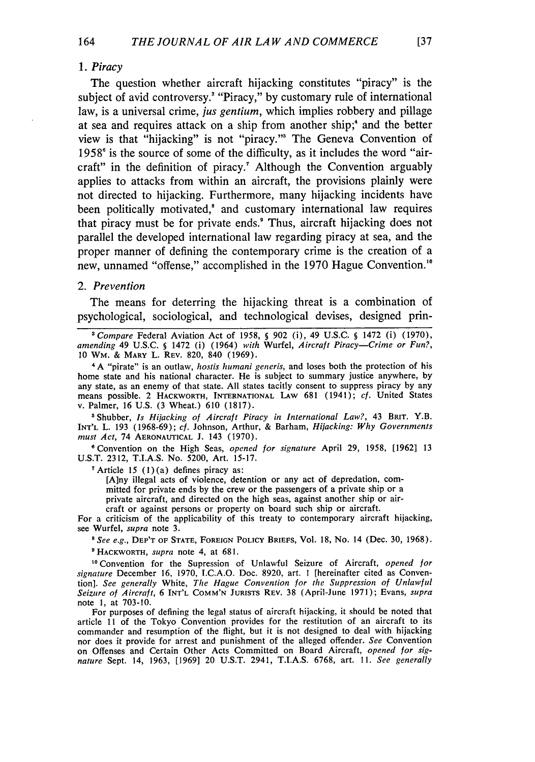164

The question whether aircraft hijacking constitutes "piracy" is the subject of avid controversy.<sup>3</sup> "Piracy," by customary rule of international law, is a universal crime, *jus gentium,* which implies robbery and pillage at sea and requires attack on a ship from another ship;' and the better view is that "hijacking" is not "piracy."' The Geneva Convention of 1958' is the source of some of the difficulty, as it includes the word "aircraft" in the definition of piracy." Although the Convention arguably applies to attacks from within an aircraft, the provisions plainly were not directed to hijacking. Furthermore, many hijacking incidents have been politically motivated,<sup>8</sup> and customary international law requires that piracy must be for private ends.' Thus, aircraft hijacking does not parallel the developed international law regarding piracy at sea, and the proper manner of defining the contemporary crime is the creation of a new, unnamed "offense," accomplished in the 1970 Hague Convention."

#### *2. Prevention*

The means for deterring the hijacking threat is a combination of psychological, sociological, and technological devises, designed prin-

*'Compare* Federal Aviation Act of 1958, **§** 902 (i), 49 U.S.C. **§** 1472 (i) (1970), *amending* 49 U.S.C. **§** 1472 (i) (1964) *with* Wurfel, *Aircraft Piracy-Crime or Fun?,* 10 WM. & MARY L. REV. 820, 840 (1969).

<sup>4</sup>A "pirate" is an outlaw, *hostis humani generis,* and loses both the protection of his home state and his national character. He is subject to summary justice anywhere, by any state, as an enemy of that state. All states tacitly consent to suppress piracy by any means possible. 2 HACKWORTH, **INTERNATIONAL** LAw **681** (1941); *cf.* United States v. Palmer, 16 U.S. (3 Wheat.) 610 (1817).

5Shubber, *Is Hijacking of Aircraft Piracy in International Law?,* 43 **BRIT.** Y.B. **INT'L** L. **193** (1968-69); *cf.* Johnson, Arthur, & Barham, *Hijacking: Why Governments must Act,* 74 **AERONAUTICAL J.** 143 (1970).

**1** Convention on the High Seas, *opened for signature* April 29, **1958,** [1962] **13** U.S.T. 2312, T.I.A.S. No. 5200, Art. **15-17.**

 $^7$  Article 15 (1)(a) defines piracy as:

[A]ny illegal acts of violence, detention or any act of depredation, committed for private ends **by** the crew or the passengers of a private ship or a private aircraft, and directed on the high seas, against another ship or aircraft or against persons or property on board such ship or aircraft.

For a criticism of the applicability of this treaty to contemporary aircraft hijacking, see Wurfel, *supra* note **3.**

*'See e.g.,* DEP'T OF **STATE, FOREIGN** POLICY BRIEFS, Vol. 18, No. 14 (Dec. **30,** 1968). 'HACKWORTH, *supra* note 4, at **681.**

1°Convention for the Supression of Unlawful Seizure of Aircraft, *opened for signature* December **16,** 1970, I.C.A.O. Doc. 8920, art. **I** [hereinafter cited as Convention]. *See generally* White, The *Hague Convention for the Suppression of Unlawful Seizure of Aircraft,* 6 **INT'L COMM'N** JURISTS REV. 38 (April-June 1971); Evans, *supra* note **1,** at 703-10.

For purposes of defining the legal status of aircraft hijacking, it should be noted that article 11 of the Tokyo Convention provides for the restitution of an aircraft to its commander and resumption of the flight, but it is not designed to deal with hijacking nor does it provide for arrest and punishment of the alleged offender. *See* Convention on Offenses and Certain Other Acts Committed on Board Aircraft, *opened for signature* Sept. 14, 1963, [1969] 20 U.S.T. 2941, T.I.A.S. **6768,** art. *11. See generally*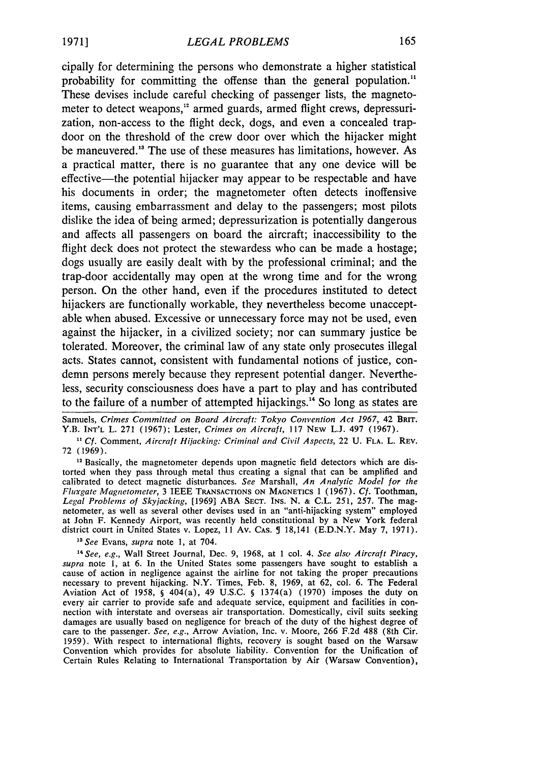cipally for determining the persons who demonstrate a higher statistical probability for committing the offense than the general population.<sup>11</sup> These devises include careful checking of passenger lists, the magnetometer to detect weapons," armed guards, armed flight crews, depressurization, non-access to the flight deck, dogs, and even a concealed trapdoor on the threshold of the crew door over which the hijacker might be maneuvered." The use of these measures has limitations, however. As a practical matter, there is no guarantee that any one device will be effective—the potential hijacker may appear to be respectable and have his documents in order; the magnetometer often detects inoffensive items, causing embarrassment and delay to the passengers; most pilots dislike the idea of being armed; depressurization is potentially dangerous and affects all passengers on board the aircraft; inaccessibility to the flight deck does not protect the stewardess who can be made a hostage; dogs usually are easily dealt with **by** the professional criminal; and the trap-door accidentally may open at the wrong time and for the wrong person. On the other hand, even if the procedures instituted to detect hijackers are functionally workable, they nevertheless become unacceptable when abused. Excessive or unnecessary force may not be used, even against the hijacker, in a civilized society; nor can summary justice be tolerated. Moreover, the criminal law of any state only prosecutes illegal acts. States cannot, consistent with fundamental notions of justice, condemn persons merely because they represent potential danger. Nevertheless, security consciousness does have a part to play and has contributed to the failure of a number of attempted hijackings.<sup>14</sup> So long as states are

Samuels, **Crimes Committed** *on Board Aircraft: Tokyo Convention Act 1967,* 42 BRIT. Y.B. INT'L L. 271 (1967); Lester, *Crimes on Aircraft,* 117 NEw L.J. 497 (1967).

*" Cf.* Comment, *Aircraft Hijacking: Criminal and Civil Aspects,* 22 **U.** FLA. L. REV. 72 (1969).

<sup>12</sup> Basically, the magnetometer depends upon magnetic field detectors which are distorted when they pass through metal thus creating a signal that can be amplified and calibrated to detect magnetic disturbances. *See* Marshall, *An Analytic Model for the Fluxgate Magnetometer,* 3 IEEE TRANSACTIONS ON MAGNETICS 1 (1967). *Cf.* Toothman, *Legal Problems of Skyjacking,* [1969] ABA SECT. INS. N. & C.L. 251, 257. The magnetometer, as well as several other devises used in an "anti-hijacking system" employed at John F. Kennedy Airport, was recently held constitutional **by** a New York federal district court in United States v. Lopez, 11 Av. CAs. **5** 18,141 (E.D.N.Y. May 7, 1971).

*"See* Evans, **supra** note **1,** at 704.

<sup>14</sup> See, e.g., Wall Street Journal, Dec. 9, 1968, at 1 col. 4. See also Aircraft Piracy, *supra* note **1,** at 6. In the United States some passengers have sought to establish a cause of action in negligence against the airline for not taking the proper precautions necessary to prevent hijacking. N.Y. Times, Feb. 8, 1969, at 62, col. 6. The Federal Aviation Act of 1958, **§** 404(a), 49 U.S.C. **§** 1374(a) (1970) imposes the duty on every air carrier to provide safe and adequate service, equipment and facilities in connection with interstate and overseas air transportation. Domestically, civil suits seeking damages are usually based on negligence for breach of the duty of the highest degree of care to the passenger. *See, e.g.,* Arrow Aviation, Inc. v. Moore, 266 F.2d 488 (8th Cir. 1959). With respect to international flights, recovery is sought based on the Warsaw Convention which provides for absolute liability. Convention for the Unification of Certain Rules Relating to International Transportation **by** Air (Warsaw Convention),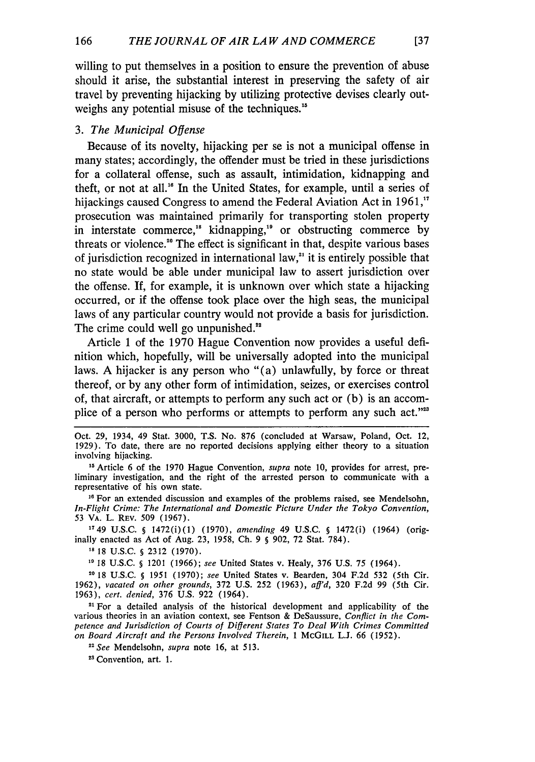willing to put themselves in a position to ensure the prevention of abuse should it arise, the substantial interest in preserving the safety of air travel by preventing hijacking by utilizing protective devises clearly outweighs any potential misuse of the techniques."

#### *3. The Municipal Offense*

Because of its novelty, hijacking per se is not a municipal offense in many states; accordingly, the offender must be tried in these jurisdictions for a collateral offense, such as assault, intimidation, kidnapping and theft, or not at all.<sup>16</sup> In the United States, for example, until a series of hijackings caused Congress to amend the Federal Aviation Act in 1961,<sup>17</sup> prosecution was maintained primarily for transporting stolen property in interstate commerce,<sup>18</sup> kidnapping,<sup>19</sup> or obstructing commerce by threats or violence."0 The effect is significant in that, despite various bases of jurisdiction recognized in international law," it is entirely possible that no state would be able under municipal law to assert jurisdiction over the offense. If, for example, it is unknown over which state a hijacking occurred, or if the offense took place over the high seas, the municipal laws of any particular country would not provide a basis for jurisdiction. The crime could well go unpunished.<sup>22</sup>

Article 1 of the 1970 Hague Convention now provides a useful definition which, hopefully, will be universally adopted into the municipal laws. A hijacker is any person who "(a) unlawfully, by force or threat thereof, or by any other form of intimidation, seizes, or exercises control of, that aircraft, or attempts to perform any such act or (b) is an accomplice of a person who performs or attempts to perform any such act."<sup>23</sup>

 $137$ 

Oct. 29, 1934, 49 Stat. 3000, T.S. No. 876 (concluded at Warsaw, Poland, Oct. 12, 1929). To date, there are no reported decisions applying either theory to a situation involving hijacking.

**<sup>1&</sup>quot;** Article 6 of the 1970 Hague Convention, *supra* note 10, provides for arrest, preliminary investigation, and the right of the arrested person to communicate with a representative of his own state.

<sup>&</sup>lt;sup>16</sup> For an extended discussion and examples of the problems raised, see Mendelsohn, *In-Flight Crime: The International and Domestic Picture Under the Tokyo Convention,* 53 VA. L. REV. 509 (1967).

**<sup>1749</sup>** U.S.C. **§** 1472(i)(1) (1970), amending 49 U.S.C. **§** 1472(i) (1964) (originally enacted as Act of Aug. 23, 1958, Ch. 9 **§** 902, 72 Stat. 784).

**<sup>1&</sup>quot;** 18 U.S.C. **S** 2312 (1970).

**<sup>1&</sup>quot;** 18 U.S.C. **§** 1201 (1966); see United States v. Healy, 376 U.S. 75 (1964).

**<sup>0</sup> 18** U.S.C. **§** 1951 (1970); *see* United States v. Bearden, 304 F.2d 532 (5th Cir. 1962), vacated on other grounds, 372 U.S. 252 (1963), *aff'd,* 320 F.2d 99 (5th Cir. 1963), cert. *denied,* 376 U.S. 922 (1964).

<sup>&</sup>lt;sup>21</sup> For a detailed analysis of the historical development and applicability of the various theories in an aviation context, see Fentson & DeSaussure, *Conflict in the Competence and Jurisdiction of Courts of Different States To Deal With Crimes Committed on Board Aircraft and the Persons Involved Therein,* 1 McGILL L.J. 66 (1952).

*<sup>2&</sup>quot;See* Mendelsohn, *supra* note **16,** at 513.

<sup>&</sup>lt;sup>23</sup> Convention, art. 1.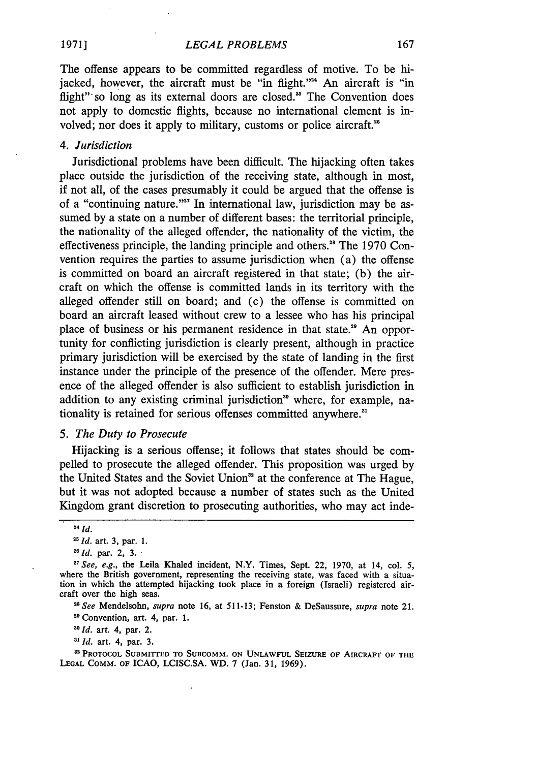The offense appears to be committed regardless of motive. To be hijacked, however, the aircraft must be "in flight."<sup>24</sup> An aircraft is "in flight" so long as its external doors are closed.<sup>25</sup> The Convention does not apply to domestic flights, because no international element is involved; nor does it apply to military, customs or police aircraft."

#### *4. Jurisdiction*

Jurisdictional problems have been difficult. The hijacking often takes place outside the jurisdiction of the receiving state, although in most, if not all, of the cases presumably it could be argued that the offense is of a "continuing nature."<sup>27</sup> In international law, jurisdiction may be assumed by a state on a number of different bases: the territorial principle, the nationality of the alleged offender, the nationality of the victim, the effectiveness principle, the landing principle and others.<sup>28</sup> The 1970 Convention requires the parties to assume jurisdiction when (a) the offense is committed on board an aircraft registered in that state; (b) the aircraft on which the offense is committed lands in its territory with the alleged offender still on board; and (c) the offense is committed on board an aircraft leased without crew to a lessee who has his principal place of business or his permanent residence in that state." An opportunity for conflicting jurisdiction is clearly present, although in practice primary jurisdiction will be exercised by the state of landing in the first instance under the principle of the presence of the offender. Mere presence of the alleged offender is also sufficient to establish jurisdiction in addition to any existing criminal jurisdiction" where, for example, nationality is retained for serious offenses committed anywhere.<sup>31</sup>

#### *5. The Duty to Prosecute*

Hijacking is a serious offense; it follows that states should be compelled to prosecute the alleged offender. This proposition was urged **by** the United States and the Soviet Union<sup>32</sup> at the conference at The Hague, but it was not adopted because a number of states such as the United Kingdom grant discretion to prosecuting authorities, who may act inde-

29 Convention, art. 4, par. 1.

*'Id.* art. 4, par. 2.

*"I Id.* art. 4, par. 3.

*<sup>24</sup>Id.*

*<sup>1&</sup>quot; Id.* art. **3,** par. **1.**

*<sup>11</sup>Id.* par. 2, *3."*

*<sup>27</sup>See, e.g.,* the Leila Khaled incident, N.Y. Times, Sept. 22, **1970,** at 14, col. **5,** where the British government, representing the receiving state, was faced with a situation in which the attempted hijacking took place in a foreign (Israeli) registered aircraft over the high seas. *"8See* Mendelsohn, *supra* note 16, at 511-13; Fenston & DeSaussure, *supra* note 21.

**<sup>8</sup>** PROTOCOL SUBMITTED **TO SUBCOMM. ON UNLAWFUL SEIZURE** OF AIRCRAFT OF **THE LEGAL COMM.** OF ICAO, LCISC.SA. WD. 7 (Jan. 31, 1969).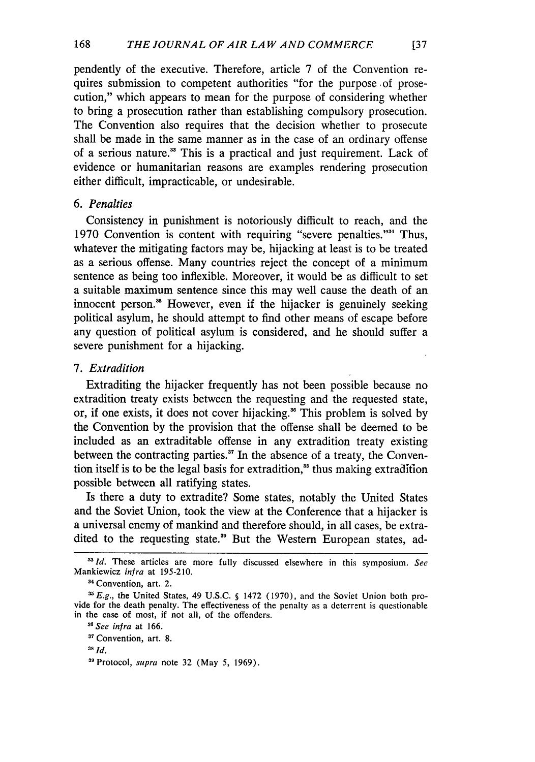pendently of the executive. Therefore, article 7 of the Convention requires submission to competent authorities "for the purpose of prosecution," which appears to mean for the purpose of considering whether to bring a prosecution rather than establishing compulsory prosecution. The Convention also requires that the decision whether to prosecute shall be made in the same manner as in the case of an ordinary offense of a serious nature." This is a practical and just requirement. Lack of evidence or humanitarian reasons are examples rendering prosecution either difficult, impracticable, or undesirable.

#### *6. Penalties*

Consistency in punishment is notoriously difficult to reach, and the 1970 Convention is content with requiring "severe penalties."<sup>34</sup> Thus, whatever the mitigating factors may be, hijacking at least is to be treated as a serious offense. Many countries reject the concept of a minimum sentence as being too inflexible. Moreover, it would be as difficult to set a suitable maximum sentence since this may well cause the death of an innocent person.<sup>35</sup> However, even if the hijacker is genuinely seeking political asylum, he should attempt to find other means of escape before any question of political asylum is considered, and he should suffer a severe punishment for a hijacking.

#### *7. Extradition*

Extraditing the hijacker frequently has not been possible because no extradition treaty exists between the requesting and the requested state, or, if one exists, it does not cover hijacking." This problem is solved by the Convention by the provision that the offense shall be deemed to be included as an extraditable offense in any extradition treaty existing between the contracting parties." In the absence of a treaty, the Convention itself is to be the legal basis for extradition, $\delta$  thus making extradition possible between all ratifying states.

Is there a duty to extradite? Some states, notably the United States and the Soviet Union, took the view at the Conference that a hijacker is a universal enemy of mankind and therefore should, in all cases, be extradited to the requesting state.<sup>39</sup> But the Western European states, ad-

<sup>&</sup>lt;sup>33</sup> Id. These articles are more fully discussed elsewhere in this symposium. See Mankiewicz *infra* at 195-210.

<sup>&</sup>lt;sup>34</sup> Convention, art. 2.

**<sup>&#</sup>x27;E.g.,** the United States, 49 U.S.C. **§** 1472 (1970), and the Soviet Union both provide for the death penalty. The effectiveness of the penalty as a deterrent is questionable in the case of most, if not all, of the offenders.

*<sup>8</sup> See infra* at 166.

<sup>&</sup>lt;sup>37</sup> Convention, art. 8.

**<sup>38</sup>** *Id.*

**<sup>&#</sup>x27;9** Protocol, *supra* note 32 (May **5,** 1969).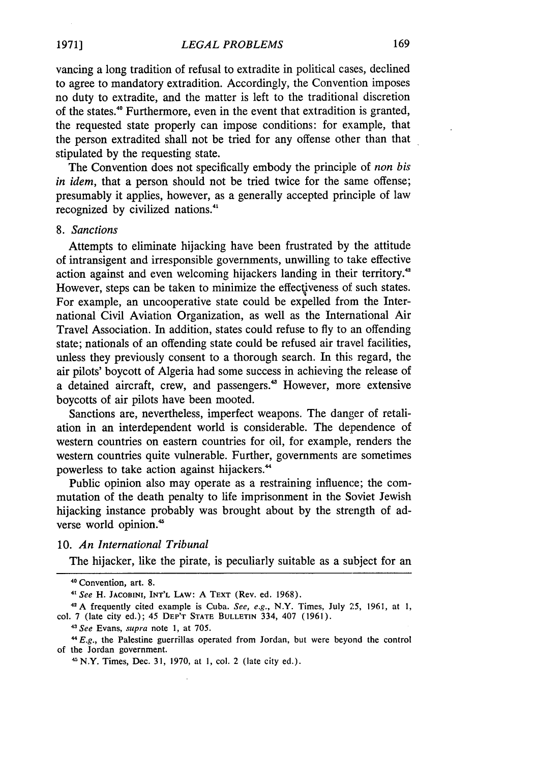vancing a long tradition of refusal to extradite in political cases, declined to agree to mandatory extradition. Accordingly, the Convention imposes no duty to extradite, and the matter is left to the traditional discretion of the states."0 Furthermore, even in the event that extradition is granted, the requested state properly can impose conditions: for example, that the person extradited shall not be tried for any offense other than that stipulated by the requesting state.

The Convention does not specifically embody the principle of *non bis in idem,* that a person should not be tried twice for the same offense; presumably it applies, however, as a generally accepted principle of law recognized by civilized nations.'

#### *8. Sanctions*

Attempts to eliminate hijacking have been frustrated by the attitude of intransigent and irresponsible governments, unwilling to take effective action against and even welcoming hijackers landing in their territory.<sup>42</sup> However, steps can be taken to minimize the effectiveness of such states. For example, an uncooperative state could be expelled from the International Civil Aviation Organization, as well as the International Air Travel Association. In addition, states could refuse to fly to an offending state; nationals of an offending state could be refused air travel facilities, unless they previously consent to a thorough search. In this regard, the air pilots' boycott of Algeria had some success in achieving the release of a detained aircraft, crew, and passengers.<sup>43</sup> However, more extensive boycotts of air pilots have been mooted.

Sanctions are, nevertheless, imperfect weapons. The danger of retaliation in an interdependent world is considerable. The dependence of western countries on eastern countries for oil, for example, renders the western countries quite vulnerable. Further, governments are sometimes powerless to take action against hijackers."

Public opinion also may operate as a restraining influence; the commutation of the death penalty to life imprisonment in the Soviet Jewish hijacking instance probably was brought about by the strength of adverse world opinion.'

10. *An International Tribunal*

The hijacker, like the pirate, is peculiarly suitable as a subject for an

**<sup>40</sup>** Convention, art. 8.

**<sup>41</sup>***See* H. **JACOBINI, INT'L** LAW: A TEXT (Rev. ed. 1968).

**<sup>&#</sup>x27;A** frequently cited example is Cuba. *See, e.g.,* N.Y. Times, July **25,** 1961, at **1,** col. **7** (late city ed.); 45 DEP'T **STATE BULLETIN** 334, 407 (1961).

<sup>41</sup>*See* Evans, *supra* note **1,** at **705.**

*<sup>&</sup>quot; E.g.,* the Palestine guerrillas operated from Jordan, but were beyond the control of the Jordan government.

**I** N.Y. Times, Dec. 31, 1970, at **1,** col. 2 (late city ed.).